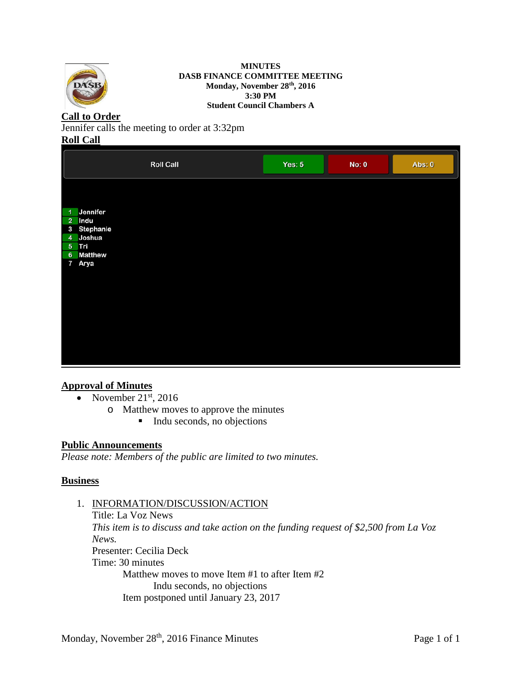

#### **MINUTES DASB FINANCE COMMITTEE MEETING Monday, November 28th, 2016 3:30 PM Student Council Chambers A**

# **Call to Order**

Jennifer calls the meeting to order at 3:32pm

### **Roll Call**

|                       | <b>Roll Call</b> | Yes: $5$ | No: 0 | Abs: 0 |
|-----------------------|------------------|----------|-------|--------|
|                       |                  |          |       |        |
| 1 Jennifer            |                  |          |       |        |
| 2 Indu<br>3 Stephanie |                  |          |       |        |
| 4 Joshua              |                  |          |       |        |
| 5 Tri                 |                  |          |       |        |
| 6 Matthew             |                  |          |       |        |
| 7 Arya                |                  |          |       |        |
|                       |                  |          |       |        |
|                       |                  |          |       |        |
|                       |                  |          |       |        |
|                       |                  |          |       |        |
|                       |                  |          |       |        |
|                       |                  |          |       |        |
|                       |                  |          |       |        |
|                       |                  |          |       |        |
|                       |                  |          |       |        |

### **Approval of Minutes**

- November  $21<sup>st</sup>$ , 2016
	- o Matthew moves to approve the minutes
		- $\blacksquare$  Indu seconds, no objections

### **Public Announcements**

*Please note: Members of the public are limited to two minutes.* 

### **Business**

## 1. INFORMATION/DISCUSSION/ACTION

Title: La Voz News *This item is to discuss and take action on the funding request of \$2,500 from La Voz News.* Presenter: Cecilia Deck Time: 30 minutes Matthew moves to move Item #1 to after Item #2 Indu seconds, no objections Item postponed until January 23, 2017